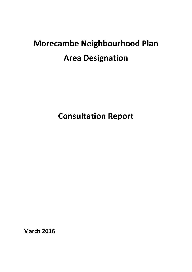# **Morecambe Neighbourhood Plan Area Designation**

**Consultation Report**

**March 2016**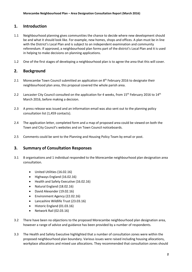## **1. Introduction**

- 1.1 Neighbourhood planning gives communities the chance to decide where new development should be and what it should look like. For example, new homes, shops and offices. A plan must be in line with the District's Local Plan and is subject to an independent examination and community referendum. If approved, a neighbourhood plan forms part of the district's Local Plan and it is used in helping to make decisions on planning applications.
- 1.2 One of the first stages of developing a neighbourhood plan is to agree the area that this will cover.

# **2. Background**

- 2.1 Morecambe Town Council submitted an application on  $8<sup>th</sup>$  February 2016 to designate their neighbourhood plan area, this proposal covered the whole parish area.
- 2.2 Lancaster City Council consulted on the application for 4 weeks, from 15<sup>th</sup> February 2016 to 14<sup>th</sup> March 2016, before making a decision.
- 2.3 A press release was issued and an information email was also sent out to the planning policy consultation list (1,459 contacts).
- 2.4 The application letter, completed form and a map of proposed area could be viewed on both the Town and City Council's websites and on Town Council noticeboards.
- 2.5 Comments could be sent to the Planning and Housing Policy Team by email or post.

## **3. Summary of Consultation Responses**

- 3.1 8 organisations and 1 individual responded to the Morecambe neighbourhood plan designation area consultation.
	- United Utilities (16.02.16)
	- $\bullet$  Highways England (16.02.16)
	- Health and Safety Executive (16.02.16)
	- Natural England (18.02.16)
	- David Alexander (19.02.16)
	- Environment Agency (22.02.16)
	- Lancashire Wildlife Trust (23.03.16)
	- Historic England (01.03.16)
	- Network Rail (02.03.16)
- 3.2 There have been no objections to the proposed Morecambe neighbourhood plan designation area, however a range of advice and guidance has been provided by a number of respondents.
- 3.3 The Health and Safety Executive highlighted that a number of consultation zones were within the proposed neighbourhood plan boundary. Various issues were raised including housing allocations, workplace allocations and mixed use allocations. They recommended that consultation zones should